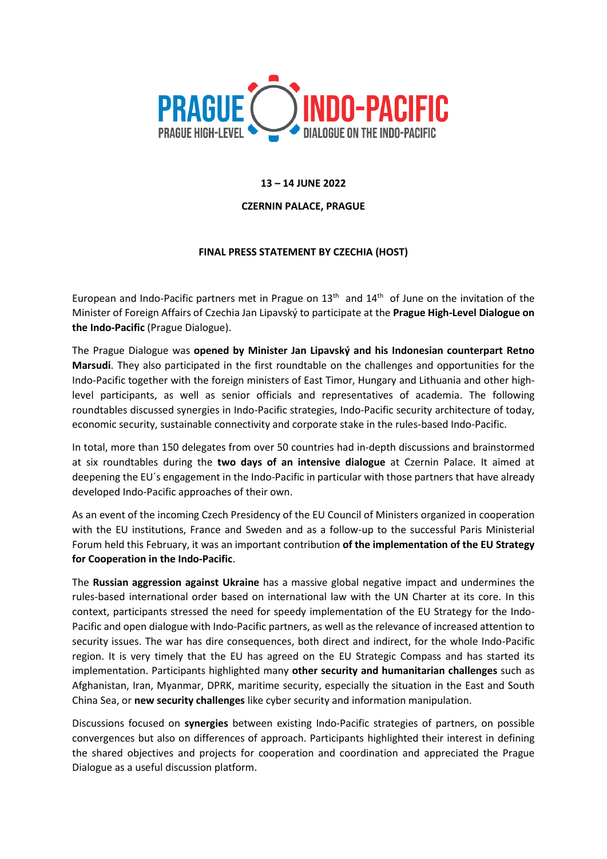

## **13 – 14 JUNE 2022**

## **CZERNIN PALACE, PRAGUE**

## **FINAL PRESS STATEMENT BY CZECHIA (HOST)**

European and Indo-Pacific partners met in Prague on  $13<sup>th</sup>$  and  $14<sup>th</sup>$  of June on the invitation of the Minister of Foreign Affairs of Czechia Jan Lipavský to participate at the **Prague High-Level Dialogue on the Indo-Pacific** (Prague Dialogue).

The Prague Dialogue was **opened by Minister Jan Lipavský and his Indonesian counterpart Retno Marsudi**. They also participated in the first roundtable on the challenges and opportunities for the Indo-Pacific together with the foreign ministers of East Timor, Hungary and Lithuania and other highlevel participants, as well as senior officials and representatives of academia. The following roundtables discussed synergies in Indo-Pacific strategies, Indo-Pacific security architecture of today, economic security, sustainable connectivity and corporate stake in the rules-based Indo-Pacific.

In total, more than 150 delegates from over 50 countries had in-depth discussions and brainstormed at six roundtables during the **two days of an intensive dialogue** at Czernin Palace. It aimed at deepening the EU´s engagement in the Indo-Pacific in particular with those partners that have already developed Indo-Pacific approaches of their own.

As an event of the incoming Czech Presidency of the EU Council of Ministers organized in cooperation with the EU institutions, France and Sweden and as a follow-up to the successful Paris Ministerial Forum held this February, it was an important contribution **of the implementation of the EU Strategy for Cooperation in the Indo-Pacific**.

The **Russian aggression against Ukraine** has a massive global negative impact and undermines the rules-based international order based on international law with the UN Charter at its core. In this context, participants stressed the need for speedy implementation of the EU Strategy for the Indo-Pacific and open dialogue with Indo-Pacific partners, as well as the relevance of increased attention to security issues. The war has dire consequences, both direct and indirect, for the whole Indo-Pacific region. It is very timely that the EU has agreed on the EU Strategic Compass and has started its implementation. Participants highlighted many **other security and humanitarian challenges** such as Afghanistan, Iran, Myanmar, DPRK, maritime security, especially the situation in the East and South China Sea, or **new security challenges** like cyber security and information manipulation.

Discussions focused on **synergies** between existing Indo-Pacific strategies of partners, on possible convergences but also on differences of approach. Participants highlighted their interest in defining the shared objectives and projects for cooperation and coordination and appreciated the Prague Dialogue as a useful discussion platform.